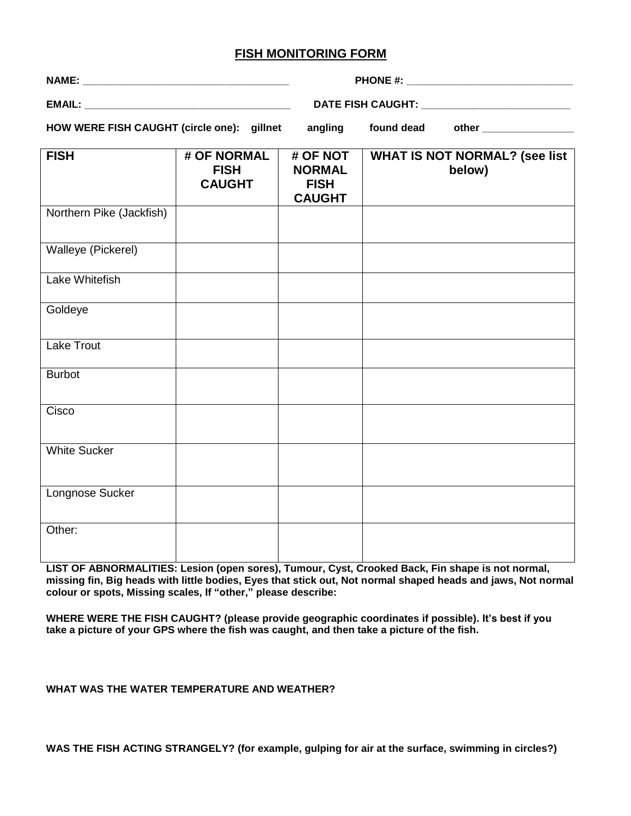## **FISH MONITORING FORM**

|                                            |                                             | DATE FISH CAUGHT: ____________________________            |            |                                                |  |  |
|--------------------------------------------|---------------------------------------------|-----------------------------------------------------------|------------|------------------------------------------------|--|--|
| HOW WERE FISH CAUGHT (circle one): gillnet |                                             | angling                                                   | found dead |                                                |  |  |
| <b>FISH</b>                                | # OF NORMAL<br><b>FISH</b><br><b>CAUGHT</b> | # OF NOT<br><b>NORMAL</b><br><b>FISH</b><br><b>CAUGHT</b> |            | <b>WHAT IS NOT NORMAL? (see list</b><br>below) |  |  |
| Northern Pike (Jackfish)                   |                                             |                                                           |            |                                                |  |  |
| Walleye (Pickerel)                         |                                             |                                                           |            |                                                |  |  |
| Lake Whitefish                             |                                             |                                                           |            |                                                |  |  |
| Goldeye                                    |                                             |                                                           |            |                                                |  |  |
| <b>Lake Trout</b>                          |                                             |                                                           |            |                                                |  |  |
| <b>Burbot</b>                              |                                             |                                                           |            |                                                |  |  |
| Cisco                                      |                                             |                                                           |            |                                                |  |  |
| <b>White Sucker</b>                        |                                             |                                                           |            |                                                |  |  |
| Longnose Sucker                            |                                             |                                                           |            |                                                |  |  |
| Other:                                     |                                             |                                                           |            |                                                |  |  |

**LIST OF ABNORMALITIES: Lesion (open sores), Tumour, Cyst, Crooked Back, Fin shape is not normal, missing fin, Big heads with little bodies, Eyes that stick out, Not normal shaped heads and jaws, Not normal colour or spots, Missing scales, If "other," please describe:** 

**WHERE WERE THE FISH CAUGHT? (please provide geographic coordinates if possible). It's best if you take a picture of your GPS where the fish was caught, and then take a picture of the fish.**

## **WHAT WAS THE WATER TEMPERATURE AND WEATHER?**

**WAS THE FISH ACTING STRANGELY? (for example, gulping for air at the surface, swimming in circles?)**